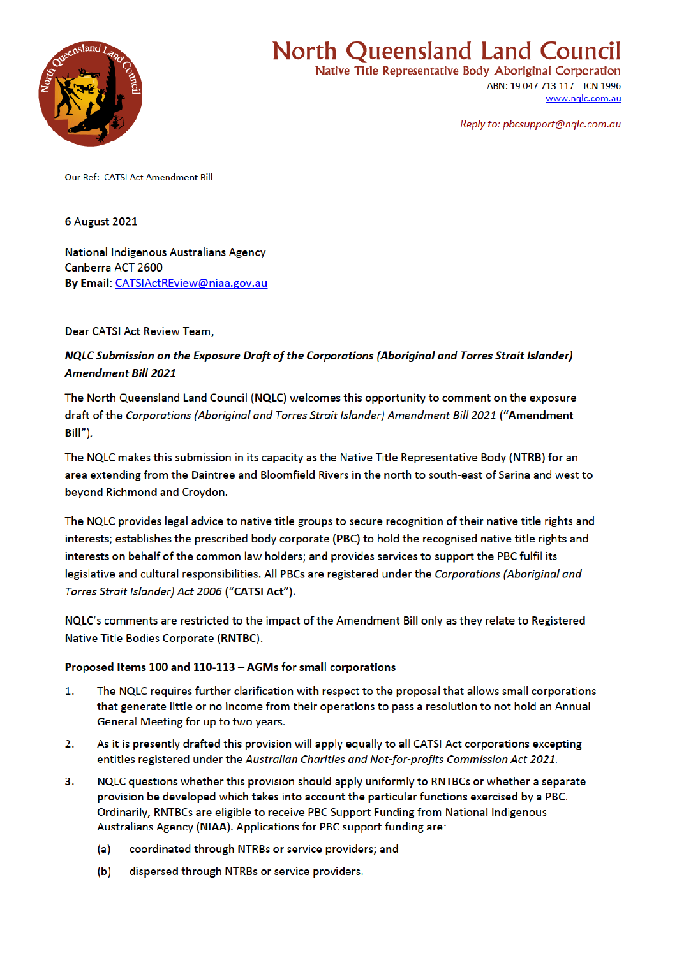

# **North Queensland Land Council**

Native Title Representative Body Aboriginal Corporation ABN: 19 047 713 117 ICN 1996 www.nglc.com.au

Reply to: pbcsupport@nglc.com.au

**Our Ref: CATSLAct Amendment Bill** 

6 August 2021

**National Indigenous Australians Agency** Canberra ACT 2600 By Email: CATSIActREview@niaa.gov.au

Dear CATSI Act Review Team,

NQLC Submission on the Exposure Draft of the Corporations (Aboriginal and Torres Strait Islander) **Amendment Bill 2021** 

The North Queensland Land Council (NQLC) welcomes this opportunity to comment on the exposure draft of the Corporations (Aboriginal and Torres Strait Islander) Amendment Bill 2021 ("Amendment Bill").

The NQLC makes this submission in its capacity as the Native Title Representative Body (NTRB) for an area extending from the Daintree and Bloomfield Rivers in the north to south-east of Sarina and west to beyond Richmond and Croydon.

The NQLC provides legal advice to native title groups to secure recognition of their native title rights and interests; establishes the prescribed body corporate (PBC) to hold the recognised native title rights and interests on behalf of the common law holders; and provides services to support the PBC fulfil its legislative and cultural responsibilities. All PBCs are registered under the Corporations (Aboriginal and Torres Strait Islander) Act 2006 ("CATSI Act").

NQLC's comments are restricted to the impact of the Amendment Bill only as they relate to Registered Native Title Bodies Corporate (RNTBC).

## Proposed Items 100 and 110-113 - AGMs for small corporations

- 1. The NQLC requires further clarification with respect to the proposal that allows small corporations that generate little or no income from their operations to pass a resolution to not hold an Annual General Meeting for up to two years.
- $2.$ As it is presently drafted this provision will apply equally to all CATSI Act corporations excepting entities registered under the Australian Charities and Not-for-profits Commission Act 2021.
- $3.$ NQLC questions whether this provision should apply uniformly to RNTBCs or whether a separate provision be developed which takes into account the particular functions exercised by a PBC. Ordinarily, RNTBCs are eligible to receive PBC Support Funding from National Indigenous Australians Agency (NIAA). Applications for PBC support funding are:
	- $(a)$ coordinated through NTRBs or service providers; and
	- dispersed through NTRBs or service providers.  $(b)$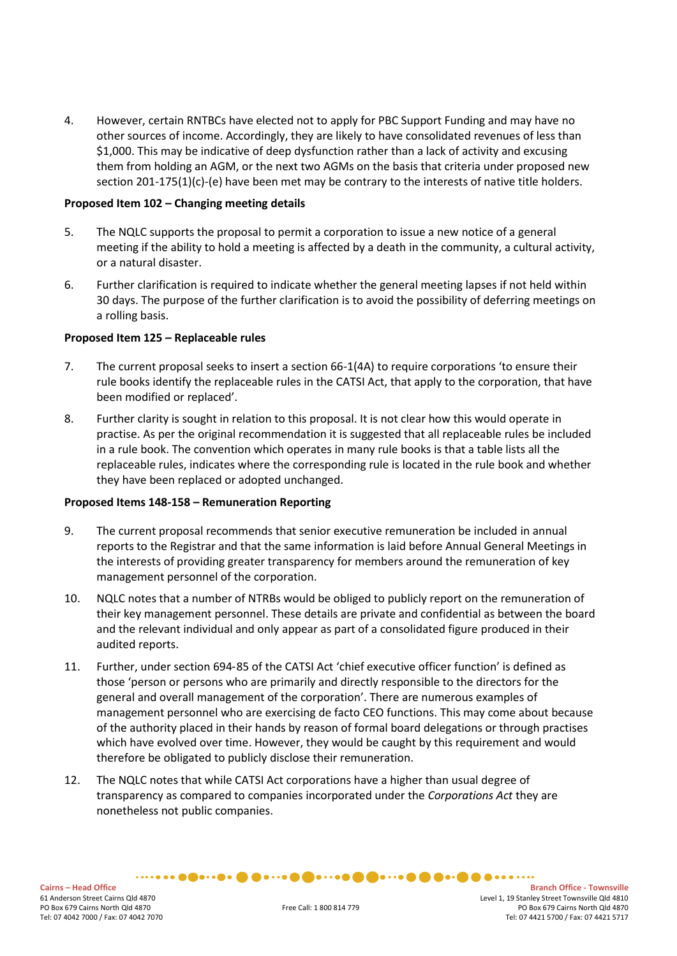4. However, certain RNTBCs have elected not to apply for PBC Support Funding and may have no other sources of income. Accordingly, they are likely to have consolidated revenues of less than \$1,000. This may be indicative of deep dysfunction rather than a lack of activity and excusing them from holding an AGM, or the next two AGMs on the basis that criteria under proposed new section 201-175(1)(c)-(e) have been met may be contrary to the interests of native title holders.

## **Proposed Item 102 – Changing meeting details**

- 5. The NQLC supports the proposal to permit a corporation to issue a new notice of a general meeting if the ability to hold a meeting is affected by a death in the community, a cultural activity, or a natural disaster.
- 6. Further clarification is required to indicate whether the general meeting lapses if not held within 30 days. The purpose of the further clarification is to avoid the possibility of deferring meetings on a rolling basis.

## **Proposed Item 125 – Replaceable rules**

- 7. The current proposal seeks to insert a section 66-1(4A) to require corporations 'to ensure their rule books identify the replaceable rules in the CATSI Act, that apply to the corporation, that have been modified or replaced'.
- 8. Further clarity is sought in relation to this proposal. It is not clear how this would operate in practise. As per the original recommendation it is suggested that all replaceable rules be included in a rule book. The convention which operates in many rule books is that a table lists all the replaceable rules, indicates where the corresponding rule is located in the rule book and whether they have been replaced or adopted unchanged.

## **Proposed Items 148-158 – Remuneration Reporting**

- 9. The current proposal recommends that senior executive remuneration be included in annual reports to the Registrar and that the same information is laid before Annual General Meetings in the interests of providing greater transparency for members around the remuneration of key management personnel of the corporation.
- 10. NQLC notes that a number of NTRBs would be obliged to publicly report on the remuneration of their key management personnel. These details are private and confidential as between the board and the relevant individual and only appear as part of a consolidated figure produced in their audited reports.
- 11. Further, under section 694‑85 of the CATSI Act 'chief executive officer function' is defined as those 'person or persons who are primarily and directly responsible to the directors for the general and overall management of the corporation'. There are numerous examples of management personnel who are exercising de facto CEO functions. This may come about because of the authority placed in their hands by reason of formal board delegations or through practises which have evolved over time. However, they would be caught by this requirement and would therefore be obligated to publicly disclose their remuneration.
- 12. The NQLC notes that while CATSI Act corporations have a higher than usual degree of transparency as compared to companies incorporated under the *Corporations Act* they are nonetheless not public companies.

Cairns – Head Office - Townsville<br>
61 Anderson Street Cairns Qld 4870<br>
61 Anderson Street Townsville Qld 4810 Level 1, 19 Stanley Street Townsville Qld 4810 PO Box 679 Cairns North Qld 4870 Free Call: 1 800 814 779 PO Box 679 Cairns North Qld 4870